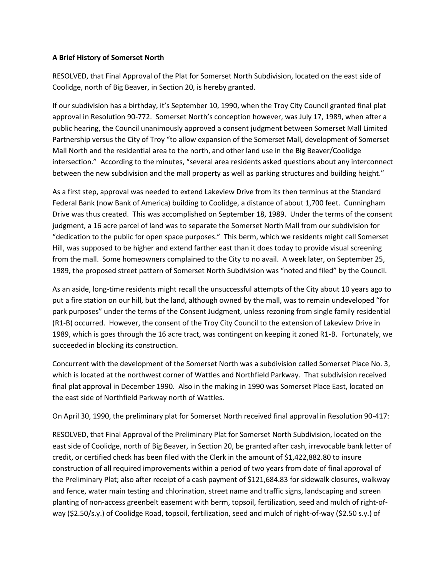## **A Brief History of Somerset North**

RESOLVED, that Final Approval of the Plat for Somerset North Subdivision, located on the east side of Coolidge, north of Big Beaver, in Section 20, is hereby granted.

If our subdivision has a birthday, it's September 10, 1990, when the Troy City Council granted final plat approval in Resolution 90-772. Somerset North's conception however, was July 17, 1989, when after a public hearing, the Council unanimously approved a consent judgment between Somerset Mall Limited Partnership versus the City of Troy "to allow expansion of the Somerset Mall, development of Somerset Mall North and the residential area to the north, and other land use in the Big Beaver/Coolidge intersection." According to the minutes, "several area residents asked questions about any interconnect between the new subdivision and the mall property as well as parking structures and building height."

As a first step, approval was needed to extend Lakeview Drive from its then terminus at the Standard Federal Bank (now Bank of America) building to Coolidge, a distance of about 1,700 feet. Cunningham Drive was thus created. This was accomplished on September 18, 1989. Under the terms of the consent judgment, a 16 acre parcel of land was to separate the Somerset North Mall from our subdivision for "dedication to the public for open space purposes." This berm, which we residents might call Somerset Hill, was supposed to be higher and extend farther east than it does today to provide visual screening from the mall. Some homeowners complained to the City to no avail. A week later, on September 25, 1989, the proposed street pattern of Somerset North Subdivision was "noted and filed" by the Council.

As an aside, long-time residents might recall the unsuccessful attempts of the City about 10 years ago to put a fire station on our hill, but the land, although owned by the mall, was to remain undeveloped "for park purposes" under the terms of the Consent Judgment, unless rezoning from single family residential (R1-B) occurred. However, the consent of the Troy City Council to the extension of Lakeview Drive in 1989, which is goes through the 16 acre tract, was contingent on keeping it zoned R1-B. Fortunately, we succeeded in blocking its construction.

Concurrent with the development of the Somerset North was a subdivision called Somerset Place No. 3, which is located at the northwest corner of Wattles and Northfield Parkway. That subdivision received final plat approval in December 1990. Also in the making in 1990 was Somerset Place East, located on the east side of Northfield Parkway north of Wattles.

On April 30, 1990, the preliminary plat for Somerset North received final approval in Resolution 90-417:

RESOLVED, that Final Approval of the Preliminary Plat for Somerset North Subdivision, located on the east side of Coolidge, north of Big Beaver, in Section 20, be granted after cash, irrevocable bank letter of credit, or certified check has been filed with the Clerk in the amount of \$1,422,882.80 to insure construction of all required improvements within a period of two years from date of final approval of the Preliminary Plat; also after receipt of a cash payment of \$121,684.83 for sidewalk closures, walkway and fence, water main testing and chlorination, street name and traffic signs, landscaping and screen planting of non-access greenbelt easement with berm, topsoil, fertilization, seed and mulch of right-ofway (\$2.50/s.y.) of Coolidge Road, topsoil, fertilization, seed and mulch of right-of-way (\$2.50 s.y.) of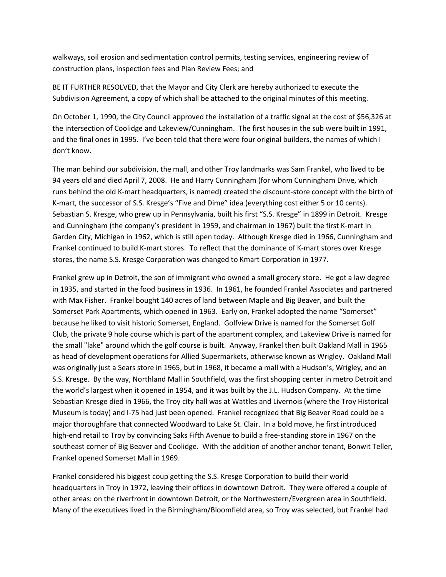walkways, soil erosion and sedimentation control permits, testing services, engineering review of construction plans, inspection fees and Plan Review Fees; and

BE IT FURTHER RESOLVED, that the Mayor and City Clerk are hereby authorized to execute the Subdivision Agreement, a copy of which shall be attached to the original minutes of this meeting.

On October 1, 1990, the City Council approved the installation of a traffic signal at the cost of \$56,326 at the intersection of Coolidge and Lakeview/Cunningham. The first houses in the sub were built in 1991, and the final ones in 1995. I've been told that there were four original builders, the names of which I don't know.

The man behind our subdivision, the mall, and other Troy landmarks was Sam Frankel, who lived to be 94 years old and died April 7, 2008. He and Harry Cunningham (for whom Cunningham Drive, which runs behind the old K-mart headquarters, is named) created the discount-store concept with the birth of K-mart, the successor of S.S. Kresge's "Five and Dime" idea (everything cost either 5 or 10 cents). Sebastian S. Kresge, who grew up in Pennsylvania, built his first "S.S. Kresge" in 1899 in Detroit. Kresge and Cunningham (the company's president in 1959, and chairman in 1967) built the first K-mart in Garden City, Michigan in 1962, which is still open today. Although Kresge died in 1966, Cunningham and Frankel continued to build K-mart stores. To reflect that the dominance of K-mart stores over Kresge stores, the name S.S. Kresge Corporation was changed to Kmart Corporation in 1977.

Frankel grew up in Detroit, the son of immigrant who owned a small grocery store. He got a law degree in 1935, and started in the food business in 1936. In 1961, he founded Frankel Associates and partnered with Max Fisher. Frankel bought 140 acres of land between Maple and Big Beaver, and built the Somerset Park Apartments, which opened in 1963. Early on, Frankel adopted the name "Somerset" because he liked to visit historic Somerset, England. Golfview Drive is named for the Somerset Golf Club, the private 9 hole course which is part of the apartment complex, and Lakeview Drive is named for the small "lake" around which the golf course is built. Anyway, Frankel then built Oakland Mall in 1965 as head of development operations for Allied Supermarkets, otherwise known as Wrigley. Oakland Mall was originally just a Sears store in 1965, but in 1968, it became a mall with a Hudson's, Wrigley, and an S.S. Kresge. By the way, Northland Mall in Southfield, was the first shopping center in metro Detroit and the world's largest when it opened in 1954, and it was built by the J.L. Hudson Company. At the time Sebastian Kresge died in 1966, the Troy city hall was at Wattles and Livernois (where the Troy Historical Museum is today) and I-75 had just been opened. Frankel recognized that Big Beaver Road could be a major thoroughfare that connected Woodward to Lake St. Clair. In a bold move, he first introduced high-end retail to Troy by convincing Saks Fifth Avenue to build a free-standing store in 1967 on the southeast corner of Big Beaver and Coolidge. With the addition of another anchor tenant, Bonwit Teller, Frankel opened Somerset Mall in 1969.

Frankel considered his biggest coup getting the S.S. Kresge Corporation to build their world headquarters in Troy in 1972, leaving their offices in downtown Detroit. They were offered a couple of other areas: on the riverfront in downtown Detroit, or the Northwestern/Evergreen area in Southfield. Many of the executives lived in the Birmingham/Bloomfield area, so Troy was selected, but Frankel had